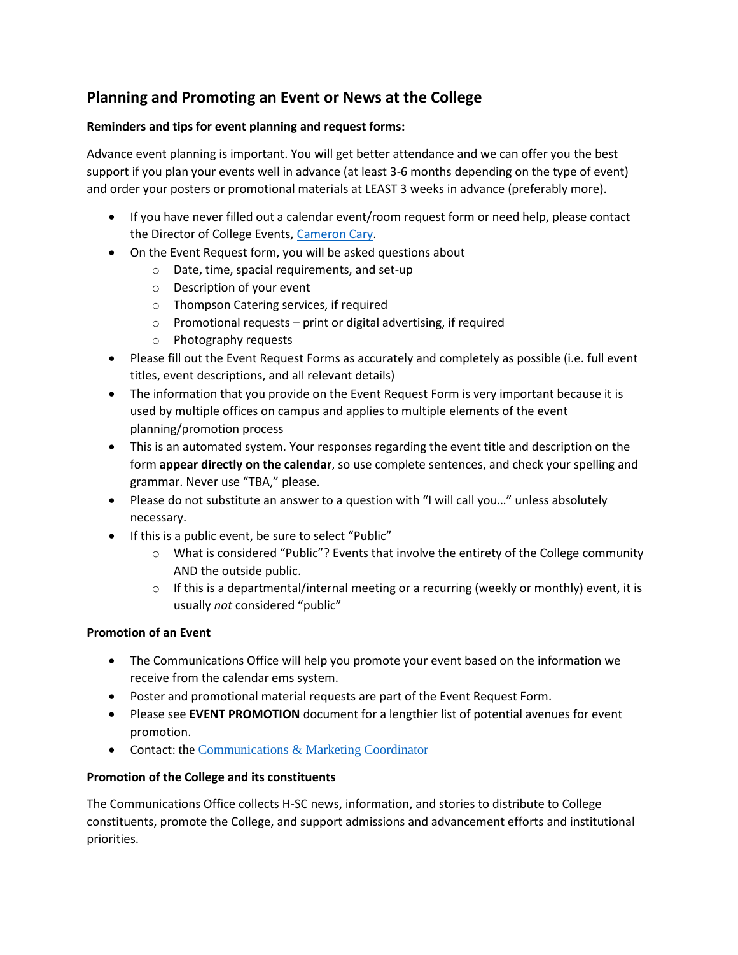# **Planning and Promoting an Event or News at the College**

# **Reminders and tips for event planning and request forms:**

Advance event planning is important. You will get better attendance and we can offer you the best support if you plan your events well in advance (at least 3-6 months depending on the type of event) and order your posters or promotional materials at LEAST 3 weeks in advance (preferably more).

- If you have never filled out a calendar event/room request form or need help, please contact the Director of College Events, [Cameron Cary.](mailto:ccary@hsc.edu)
- On the Event Request form, you will be asked questions about
	- o Date, time, spacial requirements, and set-up
	- o Description of your event
	- o Thompson Catering services, if required
	- $\circ$  Promotional requests print or digital advertising, if required
	- o Photography requests
- Please fill out the Event Request Forms as accurately and completely as possible (i.e. full event titles, event descriptions, and all relevant details)
- The information that you provide on the Event Request Form is very important because it is used by multiple offices on campus and applies to multiple elements of the event planning/promotion process
- This is an automated system. Your responses regarding the event title and description on the form **appear directly on the calendar**, so use complete sentences, and check your spelling and grammar. Never use "TBA," please.
- Please do not substitute an answer to a question with "I will call you…" unless absolutely necessary.
- If this is a public event, be sure to select "Public"
	- $\circ$  What is considered "Public"? Events that involve the entirety of the College community AND the outside public.
	- $\circ$  If this is a departmental/internal meeting or a recurring (weekly or monthly) event, it is usually *not* considered "public"

# **Promotion of an Event**

- The Communications Office will help you promote your event based on the information we receive from the calendar ems system.
- Poster and promotional material requests are part of the Event Request Form.
- Please see **EVENT PROMOTION** document for a lengthier list of potential avenues for event promotion.
- Contact: the [Communications](mailto:communications@hsc.edu) & Marketing Coordinator

# **Promotion of the College and its constituents**

The Communications Office collects H-SC news, information, and stories to distribute to College constituents, promote the College, and support admissions and advancement efforts and institutional priorities.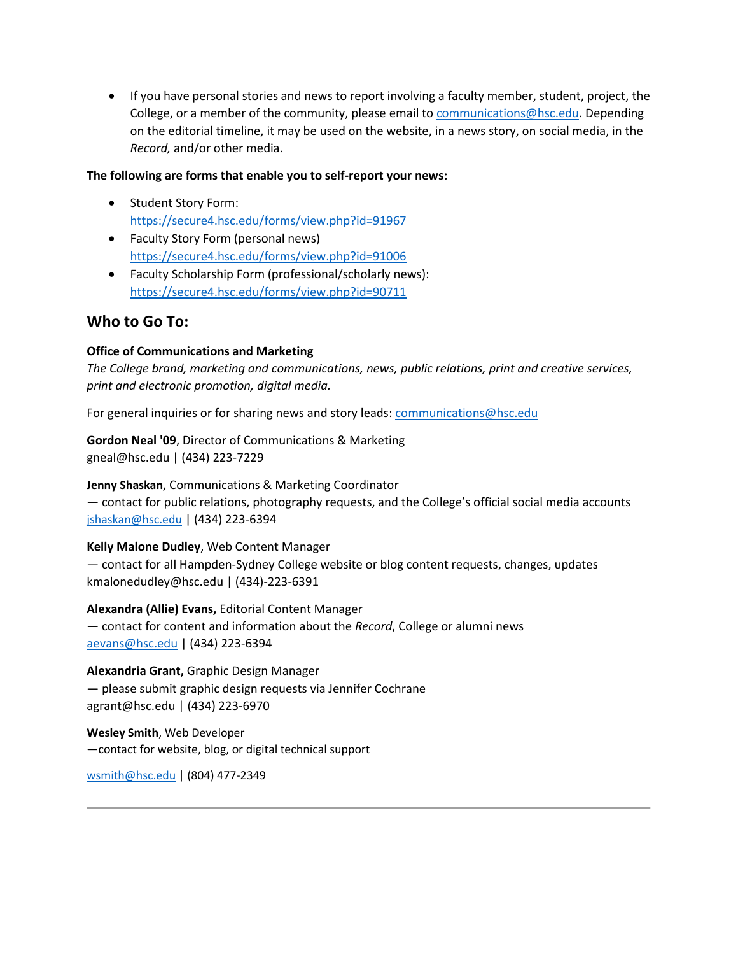If you have personal stories and news to report involving a faculty member, student, project, the College, or a member of the community, please email to [communications@hsc.edu.](mailto:communications@hsc.edu) Depending on the editorial timeline, it may be used on the website, in a news story, on social media, in the *Record,* and/or other media.

#### **The following are forms that enable you to self-report your news:**

- Student Story Form: <https://secure4.hsc.edu/forms/view.php?id=91967>
- Faculty Story Form (personal news) <https://secure4.hsc.edu/forms/view.php?id=91006>
- Faculty Scholarship Form (professional/scholarly news): <https://secure4.hsc.edu/forms/view.php?id=90711>

# **Who to Go To:**

# **Office of Communications and Marketing**

*The College brand, marketing and communications, news, public relations, print and creative services, print and electronic promotion, digital media.*

For general inquiries or for sharing news and story leads: [communications@hsc.edu](file:///C:/Users/gneal/AppData/Local/Microsoft/Windows/INetCache/Content.Outlook/DW5MKZ9E/communications@hsc.edu)

**Gordon Neal '09**, Director of Communications & Marketing [gneal@hsc.edu](mailto:gneal@hsc.edu) | (434) 223-7229

# **Jenny Shaskan**, Communications & Marketing Coordinator

— contact for public relations, photography requests, and the College's official social media accounts [jshaskan@hsc.edu](mailto:jshaskan@hsc.edu) | (434) 223-6394

# **Kelly Malone Dudley**, Web Content Manager

— contact for all Hampden-Sydney College website or blog content requests, changes, updates [kmalonedudley@hsc.edu](mailto:kmalonedudley@hsc.edu) | (434)-223-6391

**Alexandra (Allie) Evans,** Editorial Content Manager — contact for content and information about the *Record*, College or alumni news [aevans@hsc.edu](mailto:aevans@hsc.edu) | (434) 223-6394

**Alexandria Grant,** Graphic Design Manager — please submit graphic design requests via Jennifer Cochrane agrant@hsc.edu | (434) 223-6970

**Wesley Smith**, Web Developer —contact for website, blog, or digital technical support

[wsmith@hsc.edu](mailto:wsmith@hsc.edu) | (804) 477-2349